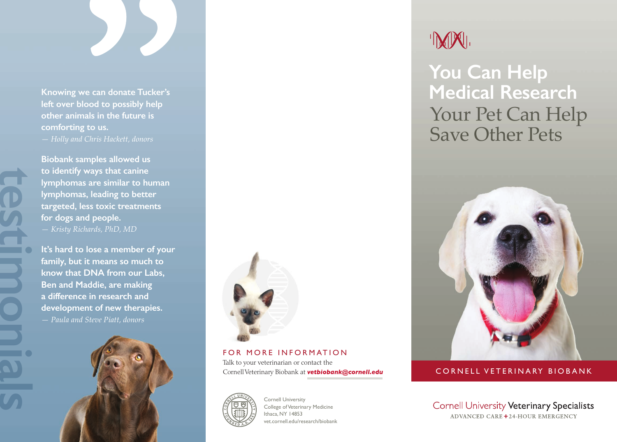

**Knowing we can donate Tucker's left over blood to possibly help other animals in the future is comforting to us.**  *— Holly and Chris Hackett, donors* 

**Biobank samples allowed us to identify ways that canine lymphomas are similar to human lymphomas, leading to better targeted, less toxic treatments for dogs and people.**  *— Kristy Richards, PhD, MD* 

**It's hard to lose a member of your family, but it means so much to know that DNA from our Labs, Ben and Maddie, are making a difference in research and development of new therapies.**  *— Paula and Steve Piatt, donors* 





FOR MORE INFORMATION Talk to your veterinarian or contact the



Cornell University College of Veterinary Medicine Ithaca, NY 14853 [vet.cornell.edu/research/biobank](https://vet.cornell.edu/research/biobank)

# IMMI.

 **You Can Help Medical Research**  Your Pet Can Help Save Other Pets



## Cornell Veterinary Biobank at *[vetbiobank@cornell.edu](mailto:vetbiobank@cornell.edu)* CORNELL VETERINARY BIOBANK

**Cornell University Veterinary Specialists ADVANCED CARE +24-HOUR EMERGENCY**